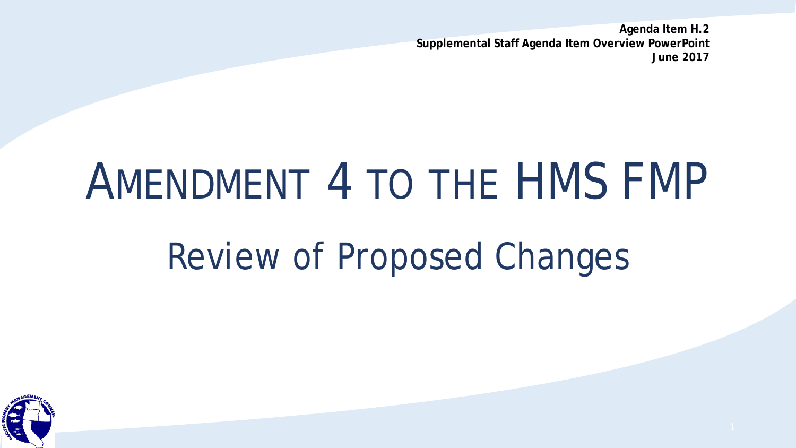**Agenda Item H.2 Supplemental Staff Agenda Item Overview PowerPoint June 2017**

# AMENDMENT 4 TO THE HMS FMP

## Review of Proposed Changes

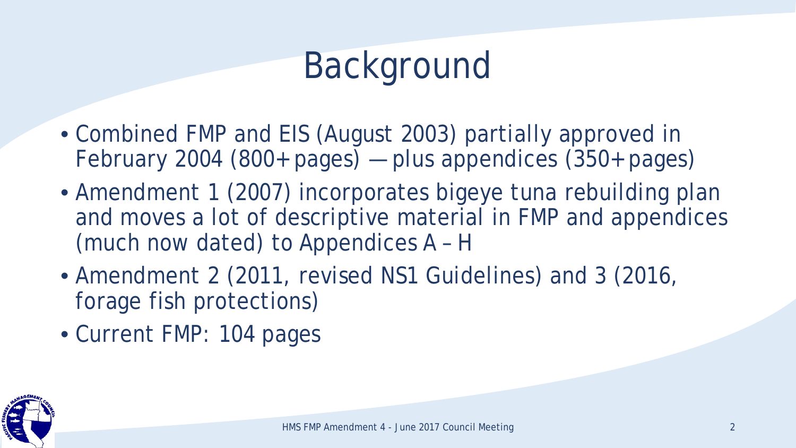# Background

- Combined FMP and EIS (August 2003) partially approved in February 2004 (800+ pages) — plus appendices (350+ pages)
- Amendment 1 (2007) incorporates bigeye tuna rebuilding plan and moves a lot of descriptive material in FMP and appendices (much now dated) to Appendices A – H
- Amendment 2 (2011, revised NS1 Guidelines) and 3 (2016, forage fish protections)
- Current FMP: 104 pages

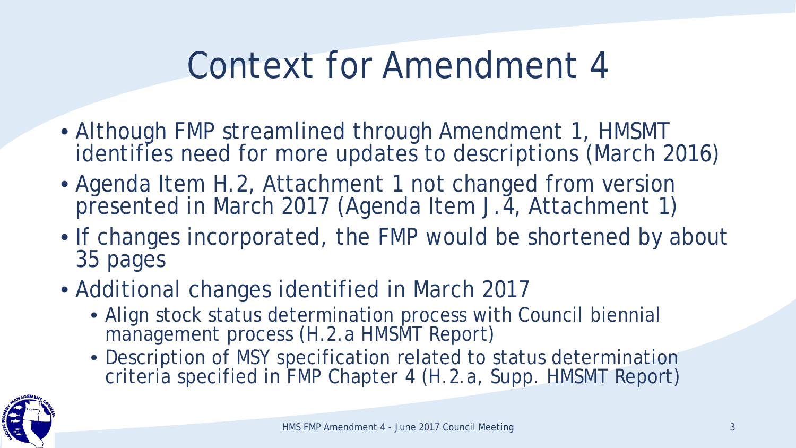#### Context for Amendment 4

- Although FMP streamlined through Amendment 1, HMSMT identifies need for more updates to descriptions (March 2016)
- Agenda Item H.2, Attachment 1 not changed from version presented in March 2017 (Agenda Item J.4, Attachment 1)
- If changes incorporated, the FMP would be shortened by about 35 pages
- Additional changes identified in March 2017
	- Align stock status determination process with Council biennial management process (H.2.a HMSMT Report)
	- Description of MSY specification related to status determination criteria specified in FMP Chapter 4 (H.2.a, Supp. HMSMT Report)

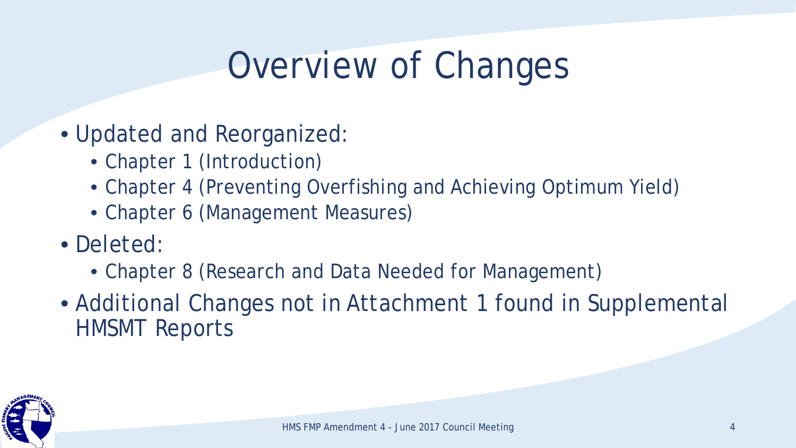## Overview of Changes

- Updated and Reorganized:
	- Chapter 1 (Introduction)
	- Chapter 4 (Preventing Overfishing and Achieving Optimum Yield)
	- Chapter 6 (Management Measures)
- Deleted:
	- Chapter 8 (Research and Data Needed for Management)
- Additional Changes not in Attachment 1 found in Supplemental HMSMT Reports

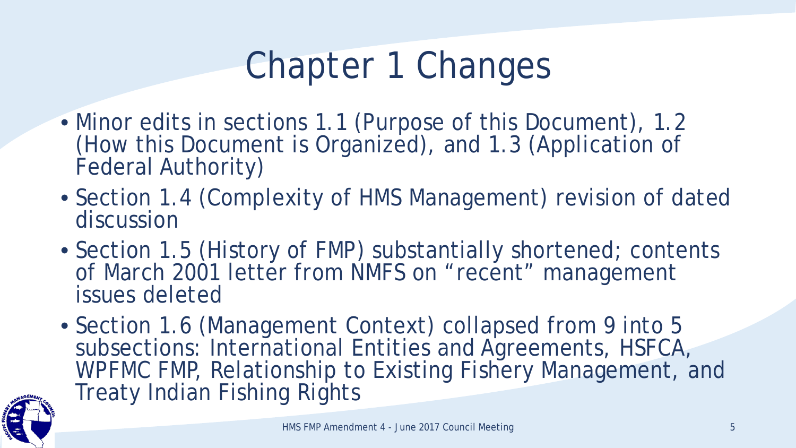## Chapter 1 Changes

- Minor edits in sections 1.1 (Purpose of this Document), 1.2 (How this Document is Organized), and 1.3 (Application of Federal Authority)
- Section 1.4 (Complexity of HMS Management) revision of dated discussion
- Section 1.5 (History of FMP) substantially shortened; contents of March 2001 letter from NMFS on "recent" management issues deleted
- Section 1.6 (Management Context) collapsed from 9 into 5 subsections: International Entities and Agreements, HSFCA, WPFMC FMP, Relationship to Existing Fishery Management, and Treaty Indian Fishing Rights

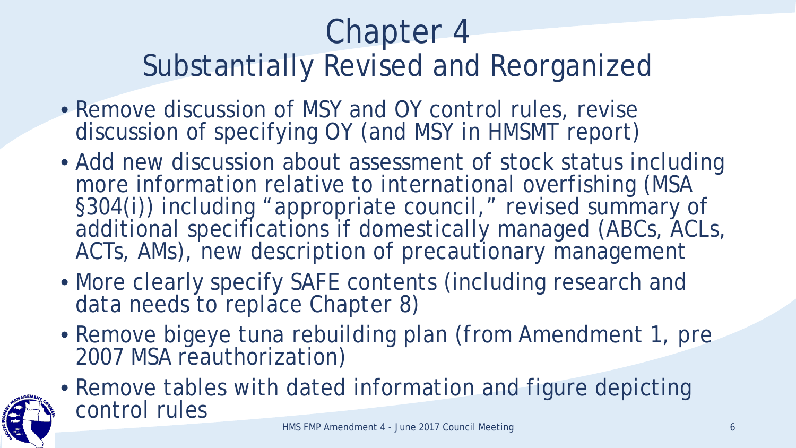#### Chapter 4 Substantially Revised and Reorganized

- Remove discussion of MSY and OY control rules, revise discussion of specifying OY (and MSY in HMSMT report)
- Add new discussion about assessment of stock status including more information relative to international overfishing (MSA §304(i)) including "appropriate council," revised summary of additional specifications if domestically managed (ABCs, ACLs, ACTs, AMs), new description of precautionary management
- More clearly specify SAFE contents (including research and data needs to replace Chapter 8)
- Remove bigeye tuna rebuilding plan (from Amendment 1, pre 2007 MSA reauthorization)
- Remove tables with dated information and figure depicting control rules